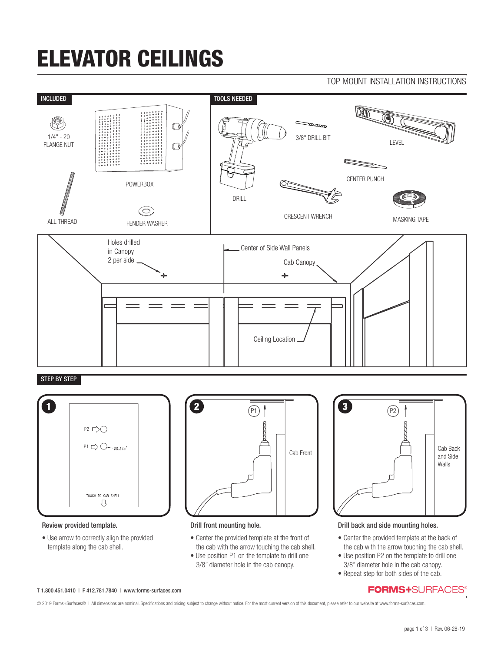# ELEVATOR CEILINGS





## STEP BY STEP



### Review provided template.

• Use arrow to correctly align the provided template along the cab shell.



### Drill front mounting hole.

- Center the provided template at the front of the cab with the arrow touching the cab shell.
- Use position P1 on the template to drill one 3/8" diameter hole in the cab canopy.



#### Drill back and side mounting holes.

- Center the provided template at the back of the cab with the arrow touching the cab shell.
- Use position P2 on the template to drill one 3/8" diameter hole in the cab canopy.
- Repeat step for both sides of the cab.

## **FORMS+**SURFACES®

T 1.800.451.0410 | F 412.781.7840 | www.forms-surfaces.com

© 2019 Forms+Surfaces® | All dimensions are nominal. Specifications and pricing subject to change without notice. For the most current version of this document, please refer to our website at www.forms-surfaces.com.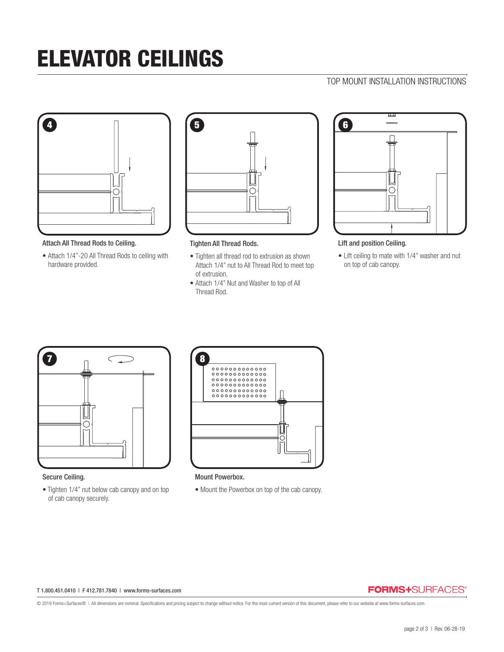# ELEVATOR CEILINGS

# TOP MOUNT INSTALLATION INSTRUCTIONS



Attach All Thread Rods to Ceiling.

• Attach 1/4"-20 All Thread Rods to ceiling with hardware provided.



Tighten All Thread Rods.

- Tighten all thread rod to extrusion as shown Attach 1/4" nut to All Thread Rod to meet top of extrusion.
- Attach 1/4" Nut and Washer to top of All Thread Rod.



Lift and position Ceiling.

• Lift ceiling to mate with 1/4" washer and nut on top of cab canopy.



### Secure Ceiling.

• Tighten 1/4" nut below cab canopy and on top of cab canopy securely.



Mount Powerbox.

• Mount the Powerbox on top of the cab canopy.

#### T 1.800.451.0410 | F 412.781.7840 | www.forms-surfaces.com

## **FORMS+**SURFACES®

© 2019 Forms+Surfaces® | All dimensions are nominal. Specifications and pricing subject to change without notice. For the most current version of this document, please refer to our website at www.forms-surfaces.com.